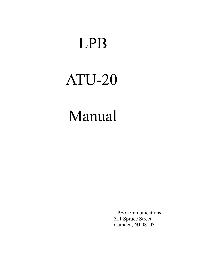## LPB

# ATU-20

## Manual

 LPB Communications 311 Spruce Street Camden, NJ 08103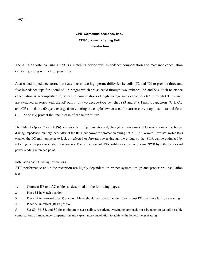#### LPB Communications, Inc.

**ATU-20 Antenna Tuning Unit Introduction**

The ATU-20 Antenna Tuning unit is a matching device with impedance compensation and reactance cancellation capability, along with a high pass filter.

A cascaded impedance correction system uses two high permeability ferrite coils (T2 and T3) to provide three and five impedance taps for a total of 1 5 ranges which are selected through two switches (S5 and S6). Each reactance cancellation is accomplished by selecting combinations of high voltage mica capacitors (C3 through C10) which are switched in series with the RF output by two decade-type switches (S3 and S4). Finally, capacitors (Cl1, Cl2 and Cl3) block the 60 cycle energy from entering the coupler (when used for carrier current applications) and fuses (Fl, F2 and F3) protect the line in case of capacitor failure.

The "Match-Operate" switch (Si) activates the bridge circuitry and, through a transformer (T1) which lowers the bridge driving impedance, dummy loads 90% of the RF input power for protection during setup. The "Forward-Reverse" switch (S2) enables the DC milli-ammeter to look at reflected or forward power through the bridge, so that SWR can be optimized by selecting the proper cancellation components. The calibration pot (R8) enables calculation of actual SWR by setting a forward power reading reference point.

Installation and Operating Instructions

ATU performance and radio reception are highly dependent on proper system design and proper pre-installation tests.

- 1. Connect RF and AC cables as described on the following pages.
- 2. Place S1 in Match position
- 3. Place S2 in Forward (FWD) position. Meter should indicate full scale. If not, adjust R8 to achieve full-scale reading.
- 4. Place S2 in reflect (REF) position.

5. Set S3, S4, S5, and S0 for minimum meter reading. A patient, systematic approach must be taken to test all possible combinations of impedance compensation and capacitance cancellation to achieve the lowest meter reading.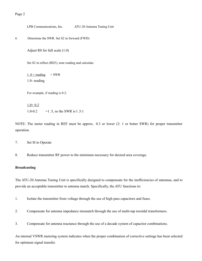LPB Communications, Inc. ATU-20 Antenna Tuning Unit

```
6. Determine the SWR. Set S2 in forward (FWD)
```
Adjust R8 for full scale (1.0)

Set S2 in reflect (REF), note reading and calculate.

 $1.0 + reading$  = SWR 1.0- reading

For example, if reading is 0.2:

 $1.0+0.2$ 1.0-0.2  $=$  1.5, so the SWR is 1.5:1

NOTE: The meter reading in REF must be approx.. 0.3 or lower (2: 1 or better SWR) for proper transmitter operation.

```
7. Set Sl to Operate
```
8. Reduce transmitter RF power to the minimum necessary for desired area coverage.

#### **Broadcasting**

The ATU-20 Antenna Tuning Unit is specifically designed to compensate for the inefficiencies of antennas, and to provide an acceptable transmitter to antenna match. Specifically, the ATU functions to:

- 1. Isolate the transmitter from voltage through the use of high pass capacitors and fuses.
- 2. Compensate for antenna impedance mismatch through the use of multi-tap toroidal transformers.
- 3. Compensate for antenna reactance through the use of a decade system of capacitor combinations.

An internal VSWR metering system indicates when the proper combination of corrective settings has been selected for optimum signal transfer.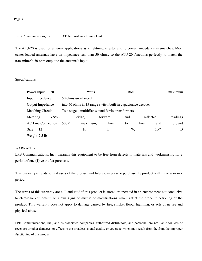LPB Communications, Inc. ATU-20 Antenna Tuning Unit

The ATU-20 is used for antenna applications as a lightning arrestor and to correct impedance mismatches. Most center-loaded antennas have an impedance less than 50 ohms, so the ATU-20 functions perfectly to match the transmitter's 50 ohm output to the antenna's input.

#### Specifications

| Power Input               | 20          |                                                              | Watts    |         | <b>RMS</b> |      |           | maximum  |
|---------------------------|-------------|--------------------------------------------------------------|----------|---------|------------|------|-----------|----------|
| Input Impedence           |             | 50 ohms unbalanced                                           |          |         |            |      |           |          |
| <b>Output Impedance</b>   |             | into 50 ohms in 15 range switch built-in capacitance decades |          |         |            |      |           |          |
| Matching Circuit          |             | Two staged, multifilar wound ferrite transformers            |          |         |            |      |           |          |
| Metering                  | <b>VSWR</b> |                                                              | bridge,  | forward | and        |      | reflected | readings |
| <b>AC Line Connection</b> |             | 500Y                                                         | maximum, | line    | to         | line | and       | ground   |
| <b>Size</b><br>12         |             | $\subset \subset$                                            | Н,       | 11"     | W.         |      | 6.5"      | D        |
| Weight 7.5 lbs            |             |                                                              |          |         |            |      |           |          |

#### WARRANTY

LPB Communications, Inc., warrants this equipment to be free from defects in materials and workmanship for a period of one (1) year after purchase.

This warranty extends to first users of the product and future owners who purchase the product within the warranty period.

The terms of this warranty are null and void if this product is stored or operated in an environment not conducive to electronic equipment, or shows signs of misuse or modifications which affect the proper functioning of the product. This warranty does not apply to damage caused by fire, smoke, flood, lightning, or acts of nature and physical abuse.

LPB Communications, Inc., and its associated companies, authorized distributors, and personnel are not liable for loss of revenues or other damages, or effects to the broadcast signal quality or coverage which may result from the from the improper functioning of this product.

#### Page 3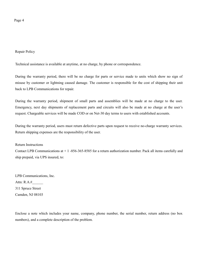Page 4

Repair Policy

Technical assistance is available at anytime, at no charge, by phone or correspondence.

During the warranty period, there will be no charge for parts or service made to units which show no sign of misuse by customer or lightning caused damage. The customer is responsible for the cost of shipping their unit back to LPB Communications for repair.

During the warranty period, shipment of small parts and assemblies will be made at no charge to the user. Emergency, next day shipments of replacement parts and circuits will also be made at no charge at the user's request. Chargeable services will be made COD or on Net-30 day terms to users with established accounts.

During the warranty period, users must return defective parts upon request to receive no-charge warranty services. Return shipping expenses are the responsibility of the user.

Return Instructions

Contact LPB Communications at + 1 -856-365-8585 for a return authorization number. Pack all items carefully and ship prepaid, via UPS insured, to:

LPB Communications, Inc. Attn: R.A.#\_\_\_\_\_\_ 311 Spruce Street Camden, NJ 08103

Enclose a note which includes your name, company, phone number, the serial number, return address (no box numbers), and a complete description of the problem.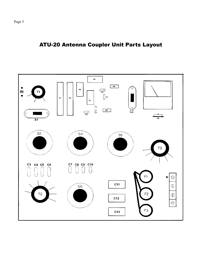

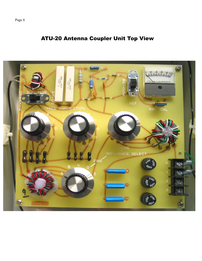Page 6

### ATU-20 Antenna Coupler Unit Top View